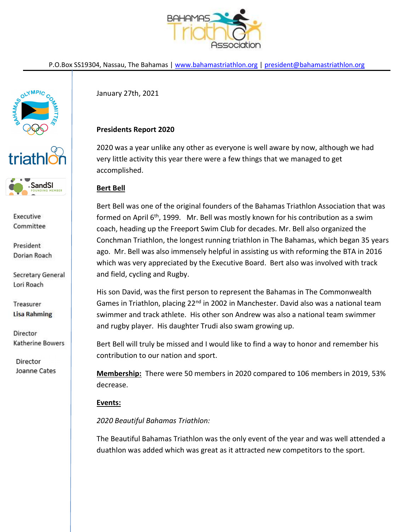

P.O.Box SS19304, Nassau, The Bahamas | www.bahamastriathlon.org | president@bahamastriathlon.org



**SandSI** 

Executive Committee

President Dorian Roach

Secretary General Lori Roach

Treasurer **Lisa Rahming** 

Director Katherine Bowers

Director Joanne Cates January 27th, 2021

## Presidents Report 2020

2020 was a year unlike any other as everyone is well aware by now, although we had very little activity this year there were a few things that we managed to get accomplished.

# Bert Bell

Bert Bell was one of the original founders of the Bahamas Triathlon Association that was formed on April  $6<sup>th</sup>$ , 1999. Mr. Bell was mostly known for his contribution as a swim coach, heading up the Freeport Swim Club for decades. Mr. Bell also organized the Conchman Triathlon, the longest running triathlon in The Bahamas, which began 35 years ago. Mr. Bell was also immensely helpful in assisting us with reforming the BTA in 2016 which was very appreciated by the Executive Board. Bert also was involved with track and field, cycling and Rugby.

His son David, was the first person to represent the Bahamas in The Commonwealth Games in Triathlon, placing 22<sup>nd</sup> in 2002 in Manchester. David also was a national team swimmer and track athlete. His other son Andrew was also a national team swimmer and rugby player. His daughter Trudi also swam growing up.

Bert Bell will truly be missed and I would like to find a way to honor and remember his contribution to our nation and sport.

Membership: There were 50 members in 2020 compared to 106 members in 2019, 53% decrease.

### Events:

2020 Beautiful Bahamas Triathlon:

The Beautiful Bahamas Triathlon was the only event of the year and was well attended a duathlon was added which was great as it attracted new competitors to the sport.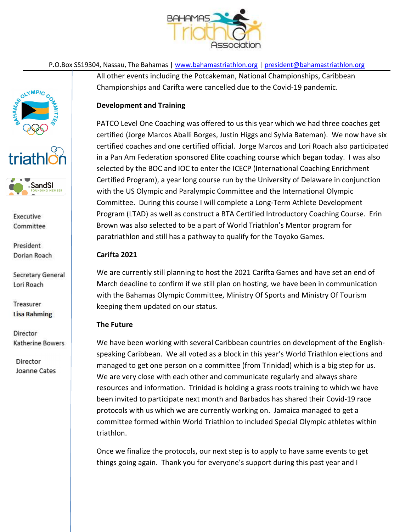

P.O.Box SS19304, Nassau, The Bahamas | www.bahamastriathlon.org | president@bahamastriathlon.org

All other events including the Potcakeman, National Championships, Caribbean Championships and Carifta were cancelled due to the Covid-19 pandemic.

### Development and Training

PATCO Level One Coaching was offered to us this year which we had three coaches get certified (Jorge Marcos Aballi Borges, Justin Higgs and Sylvia Bateman). We now have six certified coaches and one certified official. Jorge Marcos and Lori Roach also participated in a Pan Am Federation sponsored Elite coaching course which began today. I was also selected by the BOC and IOC to enter the ICECP (International Coaching Enrichment Certified Program), a year long course run by the University of Delaware in conjunction with the US Olympic and Paralympic Committee and the International Olympic Committee. During this course I will complete a Long-Term Athlete Development Program (LTAD) as well as construct a BTA Certified Introductory Coaching Course. Erin Brown was also selected to be a part of World Triathlon's Mentor program for paratriathlon and still has a pathway to qualify for the Toyoko Games.

#### Carifta 2021

We are currently still planning to host the 2021 Carifta Games and have set an end of March deadline to confirm if we still plan on hosting, we have been in communication with the Bahamas Olympic Committee, Ministry Of Sports and Ministry Of Tourism keeping them updated on our status.

#### The Future

We have been working with several Caribbean countries on development of the Englishspeaking Caribbean. We all voted as a block in this year's World Triathlon elections and managed to get one person on a committee (from Trinidad) which is a big step for us. We are very close with each other and communicate regularly and always share resources and information. Trinidad is holding a grass roots training to which we have been invited to participate next month and Barbados has shared their Covid-19 race protocols with us which we are currently working on. Jamaica managed to get a committee formed within World Triathlon to included Special Olympic athletes within triathlon.

Once we finalize the protocols, our next step is to apply to have same events to get things going again. Thank you for everyone's support during this past year and I

Executive Committee

**SandSI** 

triathl

President Dorian Roach

Secretary General Lori Roach

Treasurer **Lisa Rahming** 

Director Katherine Bowers

Director Joanne Cates